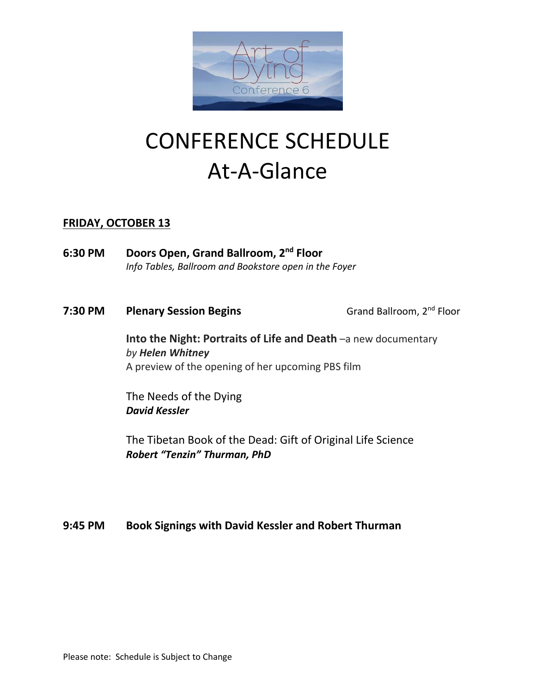

# CONFERENCE SCHEDULE At-A-Glance

## **FRIDAY, OCTOBER 13**

- **6:30 PM Doors Open, Grand Ballroom, 2nd Floor** *Info Tables, Ballroom and Bookstore open in the Foyer*
- **7:30 PM Plenary Session Begins** Grand Ballroom, 2<sup>nd</sup> Floor

**Into the Night: Portraits of Life and Death** –a new documentary *by Helen Whitney* A preview of the opening of her upcoming PBS film

The Needs of the Dying *David Kessler*

The Tibetan Book of the Dead: Gift of Original Life Science *Robert "Tenzin" Thurman, PhD*

**9:45 PM Book Signings with David Kessler and Robert Thurman**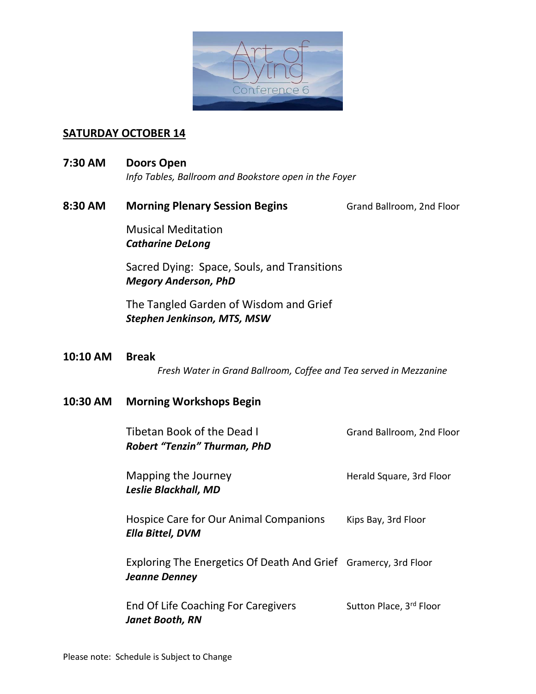

## **SATURDAY OCTOBER 14**

**7:30 AM Doors Open**

*Info Tables, Ballroom and Bookstore open in the Foyer*

8:30 AM Morning Plenary Session Begins **Grand Ballroom, 2nd Floor** 

Musical Meditation *Catharine DeLong*

Sacred Dying: Space, Souls, and Transitions *Megory Anderson, PhD*

The Tangled Garden of Wisdom and Grief *Stephen Jenkinson, MTS, MSW*

**10:10 AM Break**  *Fresh Water in Grand Ballroom, Coffee and Tea served in Mezzanine*

## **10:30 AM Morning Workshops Begin**

| Tibetan Book of the Dead I<br><b>Robert "Tenzin" Thurman, PhD</b>                       | Grand Ballroom, 2nd Floor |
|-----------------------------------------------------------------------------------------|---------------------------|
| Mapping the Journey<br>Leslie Blackhall, MD                                             | Herald Square, 3rd Floor  |
| Hospice Care for Our Animal Companions<br><b>Ella Bittel, DVM</b>                       | Kips Bay, 3rd Floor       |
| Exploring The Energetics Of Death And Grief Gramercy, 3rd Floor<br><b>Jeanne Denney</b> |                           |
| <b>End Of Life Coaching For Caregivers</b><br><b>Janet Booth, RN</b>                    | Sutton Place, 3rd Floor   |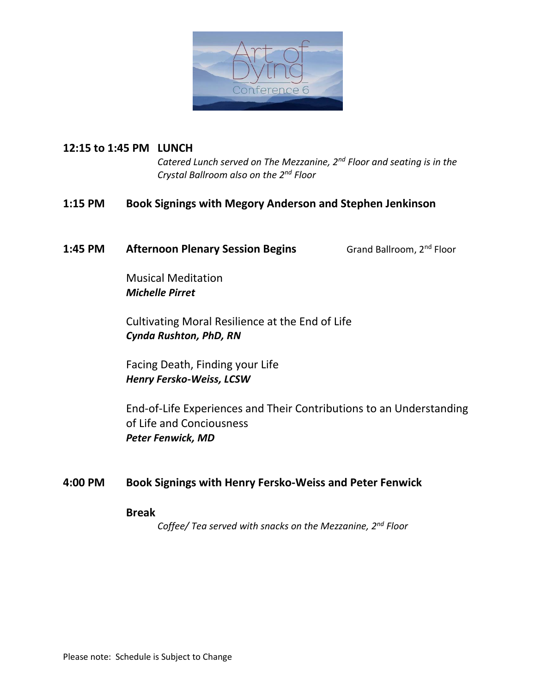

## **12:15 to 1:45 PM LUNCH**

*Catered Lunch served on The Mezzanine, 2nd Floor and seating is in the Crystal Ballroom also on the 2nd Floor*

## **1:15 PM Book Signings with Megory Anderson and Stephen Jenkinson**

### **1:45 PM •• Afternoon Plenary Session Begins** Grand Ballroom, 2<sup>nd</sup> Floor

Musical Meditation *Michelle Pirret*

Cultivating Moral Resilience at the End of Life *Cynda Rushton, PhD, RN*

Facing Death, Finding your Life *Henry Fersko-Weiss, LCSW*

End-of-Life Experiences and Their Contributions to an Understanding of Life and Conciousness *Peter Fenwick, MD*

## **4:00 PM Book Signings with Henry Fersko-Weiss and Peter Fenwick**

**Break** 

*Coffee/ Tea served with snacks on the Mezzanine, 2nd Floor*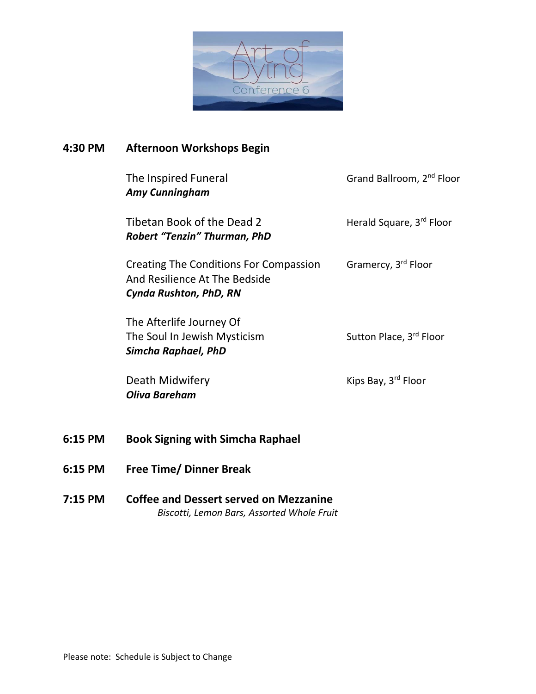

## **4:30 PM Afternoon Workshops Begin**

| The Inspired Funeral<br><b>Amy Cunningham</b>                                                     | Grand Ballroom, 2 <sup>nd</sup> Floor |
|---------------------------------------------------------------------------------------------------|---------------------------------------|
| Tibetan Book of the Dead 2<br><b>Robert "Tenzin" Thurman, PhD</b>                                 | Herald Square, 3rd Floor              |
| Creating The Conditions For Compassion<br>And Resilience At The Bedside<br>Cynda Rushton, PhD, RN | Gramercy, 3 <sup>rd</sup> Floor       |
| The Afterlife Journey Of<br>The Soul In Jewish Mysticism<br>Simcha Raphael, PhD                   | Sutton Place, 3rd Floor               |
| Death Midwifery<br><b>Oliva Bareham</b>                                                           | Kips Bay, 3 <sup>rd</sup> Floor       |
| <b>Book Signing with Simcha Raphael</b>                                                           |                                       |
| <b>Free Time/ Dinner Break</b>                                                                    |                                       |
|                                                                                                   |                                       |

**7:15 PM Coffee and Dessert served on Mezzanine** *Biscotti, Lemon Bars, Assorted Whole Fruit*

**6:15 PM** 

**6:15 PM**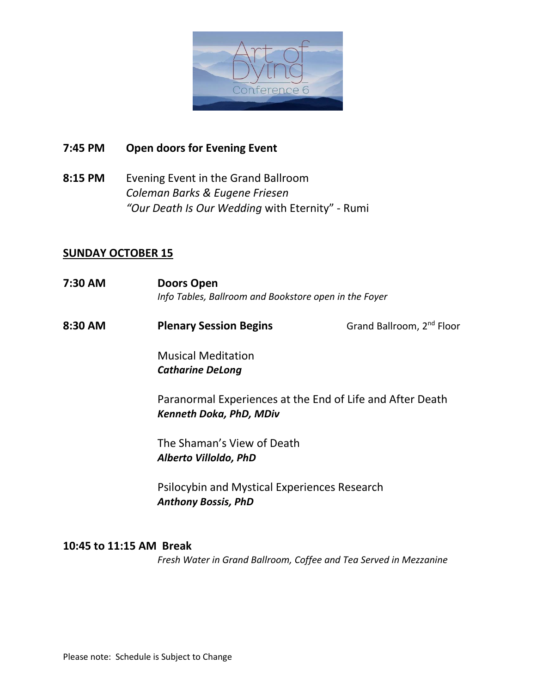

## **7:45 PM Open doors for Evening Event**

**8:15 PM** Evening Event in the Grand Ballroom *Coleman Barks & Eugene Friesen "Our Death Is Our Wedding* with Eternity" - Rumi

### **SUNDAY OCTOBER 15**

- **7:30 AM Doors Open** *Info Tables, Ballroom and Bookstore open in the Foyer*
- **8:30 AM Plenary Session Begins** Grand Ballroom, 2<sup>nd</sup> Floor

Musical Meditation *Catharine DeLong*

Paranormal Experiences at the End of Life and After Death *Kenneth Doka, PhD, MDiv*

The Shaman's View of Death *Alberto Villoldo, PhD*

Psilocybin and Mystical Experiences Research *Anthony Bossis, PhD* 

#### **10:45 to 11:15 AM Break**

*Fresh Water in Grand Ballroom, Coffee and Tea Served in Mezzanine*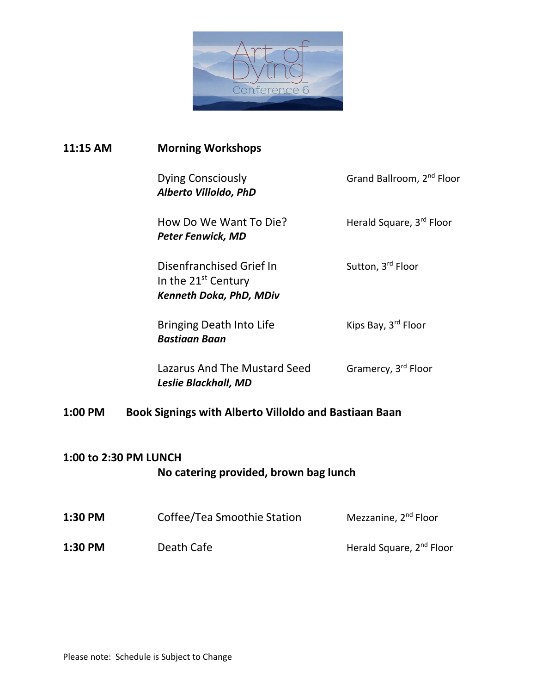

# **11:15 AM Morning Workshops**

|                                                       | Dying Consciously<br>Alberto Villoldo, PhD                                                    | Grand Ballroom, 2 <sup>nd</sup> Floor |  |  |
|-------------------------------------------------------|-----------------------------------------------------------------------------------------------|---------------------------------------|--|--|
|                                                       | How Do We Want To Die?<br><b>Peter Fenwick, MD</b>                                            | Herald Square, 3rd Floor              |  |  |
|                                                       | Disenfranchised Grief In<br>In the 21 <sup>st</sup> Century<br><b>Kenneth Doka, PhD, MDiv</b> | Sutton, 3rd Floor                     |  |  |
|                                                       | <b>Bringing Death Into Life</b><br>Bastiaan Baan                                              | Kips Bay, 3 <sup>rd</sup> Floor       |  |  |
|                                                       | Lazarus And The Mustard Seed<br>Leslie Blackhall, MD                                          | Gramercy, 3 <sup>rd</sup> Floor       |  |  |
| Book Signings with Alberto Villoldo and Bastiaan Baan |                                                                                               |                                       |  |  |

## **1:00 to 2:30 PM LUNCH**

**1:00 PM** 

# **No catering provided, brown bag lunch**

| 1:30 PM | Coffee/Tea Smoothie Station | Mezzanine, 2 <sup>nd</sup> Floor     |
|---------|-----------------------------|--------------------------------------|
| 1:30 PM | Death Cafe                  | Herald Square, 2 <sup>nd</sup> Floor |